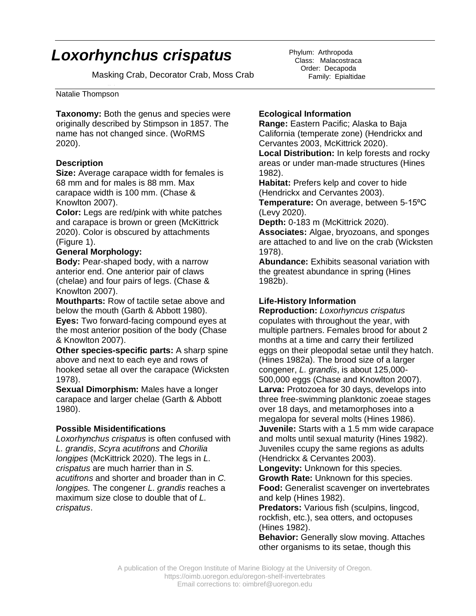# *Loxorhynchus crispatus*

Masking Crab, Decorator Crab, Moss Crab

# Matalie Thompson

**Taxonomy:** Both the genus and species were originally described by Stimpson in 1857. The name has not changed since. (WoRMS 2020).

#### **Description**

**Size:** Average carapace width for females is 68 mm and for males is 88 mm. Max carapace width is 100 mm. (Chase & Knowlton 2007).

**Color:** Legs are red/pink with white patches and carapace is brown or green (McKittrick 2020). Color is obscured by attachments (Figure 1).

## **General Morphology:**

**Body:** Pear-shaped body, with a narrow anterior end. One anterior pair of claws (chelae) and four pairs of legs. (Chase & Knowlton 2007).

**Mouthparts:** Row of tactile setae above and below the mouth (Garth & Abbott 1980).

**Eyes:** Two forward-facing compound eyes at the most anterior position of the body (Chase & Knowlton 2007).

**Other species-specific parts:** A sharp spine above and next to each eye and rows of hooked setae all over the carapace (Wicksten 1978).

**Sexual Dimorphism:** Males have a longer carapace and larger chelae (Garth & Abbott 1980).

#### **Possible Misidentifications**

*Loxorhynchus crispatus* is often confused with *L. grandis*, *Scyra acutifrons* and *Chorilia longipes* (McKittrick 2020). The legs in *L. crispatus* are much harrier than in *S. acutifrons* and shorter and broader than in *C. longipes.* The congener *L. grandis* reaches a maximum size close to double that of *L. crispatus*.

Phylum: Arthropoda Class: Malacostraca Order: Decapoda Family: Epialtidae

# **Ecological Information**

**Range:** Eastern Pacific; Alaska to Baja California (temperate zone) (Hendrickx and Cervantes 2003, McKittrick 2020).

**Local Distribution:** In kelp forests and rocky areas or under man-made structures (Hines 1982).

**Habitat:** Prefers kelp and cover to hide (Hendrickx and Cervantes 2003).

**Temperature:** On average, between 5-15°C (Levy 2020).

**Depth:** 0-183 m (McKittrick 2020).

**Associates:** Algae, bryozoans, and sponges are attached to and live on the crab (Wicksten 1978).

**Abundance:** Exhibits seasonal variation with the greatest abundance in spring (Hines 1982b).

## **Life-History Information**

**Reproduction:** *Loxorhyncus crispatus* copulates with throughout the year, with multiple partners. Females brood for about 2 months at a time and carry their fertilized eggs on their pleopodal setae until they hatch. (Hines 1982a). The brood size of a larger congener, *L. grandis*, is about 125,000- 500,000 eggs (Chase and Knowlton 2007). **Larva:** Protozoea for 30 days, develops into three free-swimming planktonic zoeae stages over 18 days, and metamorphoses into a megalopa for several molts (Hines 1986). **Juvenile:** Starts with a 1.5 mm wide carapace and molts until sexual maturity (Hines 1982). Juveniles ccupy the same regions as adults (Hendrickx & Cervantes 2003).

**Longevity:** Unknown for this species.

**Growth Rate:** Unknown for this species. **Food:** Generalist scavenger on invertebrates and kelp (Hines 1982).

**Predators:** Various fish (sculpins, lingcod, rockfish, etc.), sea otters, and octopuses (Hines 1982).

**Behavior:** Generally slow moving. Attaches other organisms to its setae, though this

A publication of the Oregon Institute of Marine Biology at the University of Oregon. https://oimb.uoregon.edu/oregon-shelf-invertebrates Email corrections to: oimbref@uoregon.edu